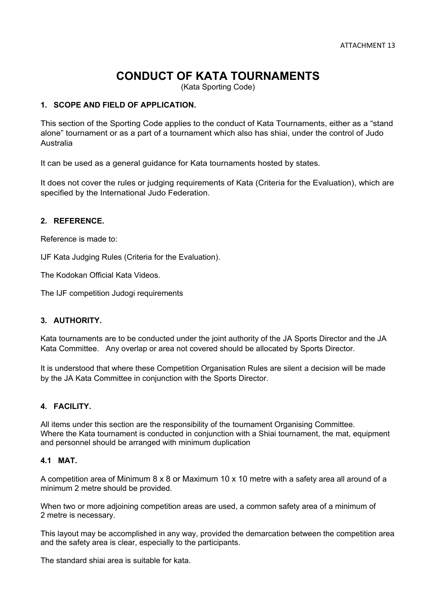## **CONDUCT OF KATA TOURNAMENTS**

(Kata Sporting Code)

#### **1. SCOPE AND FIELD OF APPLICATION.**

This section of the Sporting Code applies to the conduct of Kata Tournaments, either as a "stand alone" tournament or as a part of a tournament which also has shiai, under the control of Judo Australia

It can be used as a general guidance for Kata tournaments hosted by states.

It does not cover the rules or judging requirements of Kata (Criteria for the Evaluation), which are specified by the International Judo Federation.

#### **2. REFERENCE.**

Reference is made to:

IJF Kata Judging Rules (Criteria for the Evaluation).

The Kodokan Official Kata Videos.

The IJF competition Judogi requirements

#### **3. AUTHORITY.**

Kata tournaments are to be conducted under the joint authority of the JA Sports Director and the JA Kata Committee. Any overlap or area not covered should be allocated by Sports Director.

It is understood that where these Competition Organisation Rules are silent a decision will be made by the JA Kata Committee in conjunction with the Sports Director.

#### **4. FACILITY.**

All items under this section are the responsibility of the tournament Organising Committee. Where the Kata tournament is conducted in conjunction with a Shiai tournament, the mat, equipment and personnel should be arranged with minimum duplication

#### **4.1 MAT.**

A competition area of Minimum 8 x 8 or Maximum 10 x 10 metre with a safety area all around of a minimum 2 metre should be provided.

When two or more adjoining competition areas are used, a common safety area of a minimum of 2 metre is necessary.

This layout may be accomplished in any way, provided the demarcation between the competition area and the safety area is clear, especially to the participants.

The standard shiai area is suitable for kata.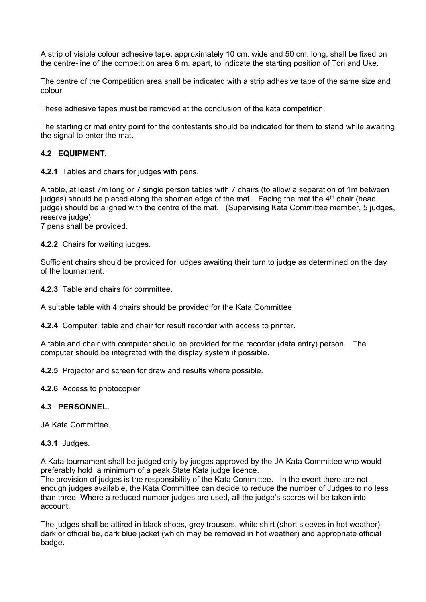A strip of visible colour adhesive tape, approximately 10 cm. wide and 50 cm. long, shall be fixed on the centre-line of the competition area 6 m. apart, to indicate the starting position of Tori and Uke.

The centre of the Competition area shall be indicated with a strip adhesive tape of the same size and colour.

These adhesive tapes must be removed at the conclusion of the kata competition.

The starting or mat entry point for the contestants should be indicated for them to stand while awaiting the signal to enter the mat.

#### **4.2 EQUIPMENT.**

**4.2.1** Tables and chairs for judges with pens.

A table, at least 7m long or 7 single person tables with 7 chairs (to allow a separation of 1m between judges) should be placed along the shomen edge of the mat. Facing the mat the  $4<sup>th</sup>$  chair (head judge) should be aligned with the centre of the mat. (Supervising Kata Committee member, 5 judges, reserve judge)

7 pens shall be provided.

**4.2.2** Chairs for waiting judges.

Sufficient chairs should be provided for judges awaiting their turn to judge as determined on the day of the tournament.

**4.2.3** Table and chairs for committee.

A suitable table with 4 chairs should be provided for the Kata Committee

**4.2.4** Computer, table and chair for result recorder with access to printer.

A table and chair with computer should be provided for the recorder (data entry) person. The computer should be integrated with the display system if possible.

**4.2.5** Projector and screen for draw and results where possible.

**4.2.6** Access to photocopier.

#### **4.3 PERSONNEL.**

JA Kata Committee.

**4.3.1** Judges.

A Kata tournament shall be judged only by judges approved by the JA Kata Committee who would preferably hold a minimum of a peak State Kata judge licence.

The provision of judges is the responsibility of the Kata Committee. In the event there are not enough judges available, the Kata Committee can decide to reduce the number of Judges to no less than three. Where a reduced number judges are used, all the judge's scores will be taken into account.

The judges shall be attired in black shoes, grey trousers, white shirt (short sleeves in hot weather), dark or official tie, dark blue jacket (which may be removed in hot weather) and appropriate official badge.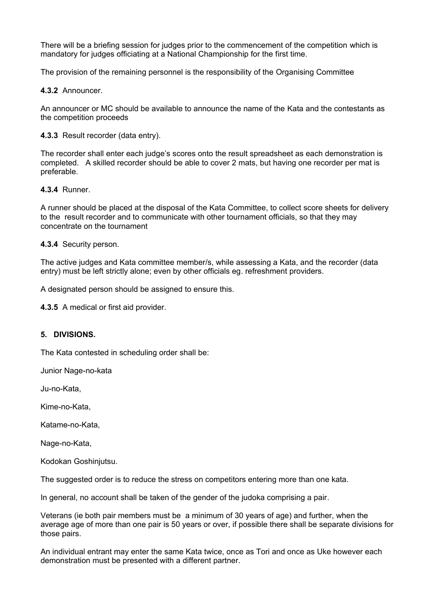There will be a briefing session for judges prior to the commencement of the competition which is mandatory for judges officiating at a National Championship for the first time.

The provision of the remaining personnel is the responsibility of the Organising Committee

**4.3.2** Announcer.

An announcer or MC should be available to announce the name of the Kata and the contestants as the competition proceeds

**4.3.3** Result recorder (data entry).

The recorder shall enter each judge's scores onto the result spreadsheet as each demonstration is completed. A skilled recorder should be able to cover 2 mats, but having one recorder per mat is preferable.

**4.3.4** Runner.

A runner should be placed at the disposal of the Kata Committee, to collect score sheets for delivery to the result recorder and to communicate with other tournament officials, so that they may concentrate on the tournament

#### **4.3.4** Security person.

The active judges and Kata committee member/s, while assessing a Kata, and the recorder (data entry) must be left strictly alone; even by other officials eg. refreshment providers.

A designated person should be assigned to ensure this.

**4.3.5** A medical or first aid provider.

#### **5. DIVISIONS.**

The Kata contested in scheduling order shall be:

Junior Nage-no-kata

Ju-no-Kata,

Kime-no-Kata,

Katame-no-Kata,

Nage-no-Kata,

Kodokan Goshinjutsu.

The suggested order is to reduce the stress on competitors entering more than one kata.

In general, no account shall be taken of the gender of the judoka comprising a pair.

Veterans (ie both pair members must be a minimum of 30 years of age) and further, when the average age of more than one pair is 50 years or over, if possible there shall be separate divisions for those pairs.

An individual entrant may enter the same Kata twice, once as Tori and once as Uke however each demonstration must be presented with a different partner.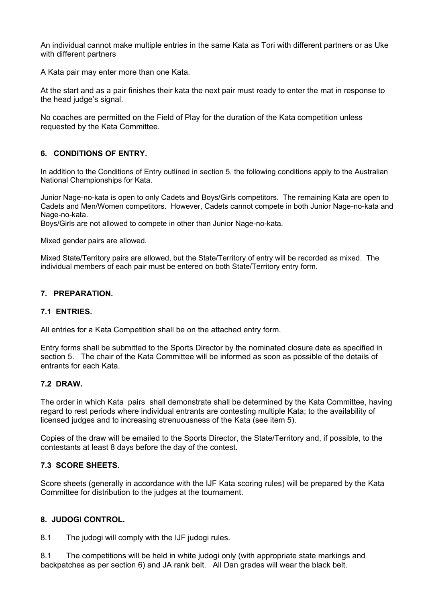An individual cannot make multiple entries in the same Kata as Tori with different partners or as Uke with different partners

A Kata pair may enter more than one Kata.

At the start and as a pair finishes their kata the next pair must ready to enter the mat in response to the head judge's signal.

No coaches are permitted on the Field of Play for the duration of the Kata competition unless requested by the Kata Committee.

#### **6. CONDITIONS OF ENTRY.**

In addition to the Conditions of Entry outlined in section 5, the following conditions apply to the Australian National Championships for Kata.

Junior Nage-no-kata is open to only Cadets and Boys/Girls competitors. The remaining Kata are open to Cadets and Men/Women competitors. However, Cadets cannot compete in both Junior Nage-no-kata and Nage-no-kata.

Boys/Girls are not allowed to compete in other than Junior Nage-no-kata.

Mixed gender pairs are allowed.

Mixed State/Territory pairs are allowed, but the State/Territory of entry will be recorded as mixed. The individual members of each pair must be entered on both State/Territory entry form.

#### **7. PREPARATION.**

#### **7.1 ENTRIES.**

All entries for a Kata Competition shall be on the attached entry form.

Entry forms shall be submitted to the Sports Director by the nominated closure date as specified in section 5. The chair of the Kata Committee will be informed as soon as possible of the details of entrants for each Kata.

#### **7.2 DRAW.**

The order in which Kata pairs shall demonstrate shall be determined by the Kata Committee, having regard to rest periods where individual entrants are contesting multiple Kata; to the availability of licensed judges and to increasing strenuousness of the Kata (see item 5).

Copies of the draw will be emailed to the Sports Director, the State/Territory and, if possible, to the contestants at least 8 days before the day of the contest.

#### **7.3 SCORE SHEETS.**

Score sheets (generally in accordance with the IJF Kata scoring rules) will be prepared by the Kata Committee for distribution to the judges at the tournament.

#### **8. JUDOGI CONTROL.**

8.1 The judogi will comply with the IJF judogi rules.

8.1 The competitions will be held in white judogi only (with appropriate state markings and backpatches as per section 6) and JA rank belt. All Dan grades will wear the black belt.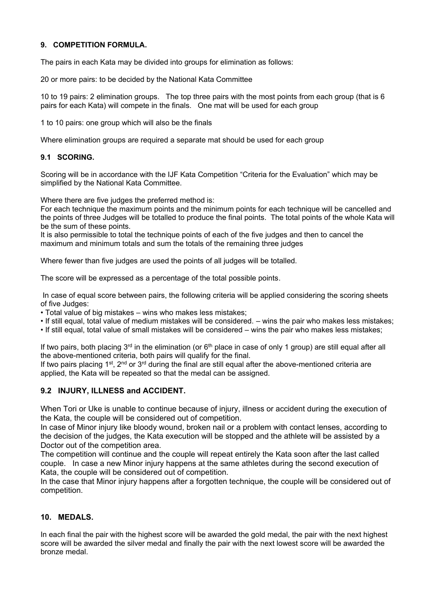#### **9. COMPETITION FORMULA.**

The pairs in each Kata may be divided into groups for elimination as follows:

20 or more pairs: to be decided by the National Kata Committee

10 to 19 pairs: 2 elimination groups. The top three pairs with the most points from each group (that is 6 pairs for each Kata) will compete in the finals. One mat will be used for each group

1 to 10 pairs: one group which will also be the finals

Where elimination groups are required a separate mat should be used for each group

#### **9.1 SCORING.**

Scoring will be in accordance with the IJF Kata Competition "Criteria for the Evaluation" which may be simplified by the National Kata Committee.

Where there are five judges the preferred method is:

For each technique the maximum points and the minimum points for each technique will be cancelled and the points of three Judges will be totalled to produce the final points. The total points of the whole Kata will be the sum of these points.

It is also permissible to total the technique points of each of the five judges and then to cancel the maximum and minimum totals and sum the totals of the remaining three judges

Where fewer than five judges are used the points of all judges will be totalled.

The score will be expressed as a percentage of the total possible points.

In case of equal score between pairs, the following criteria will be applied considering the scoring sheets of five Judges:

• Total value of big mistakes – wins who makes less mistakes;

• If still equal, total value of medium mistakes will be considered. – wins the pair who makes less mistakes;

• If still equal, total value of small mistakes will be considered – wins the pair who makes less mistakes;

If two pairs, both placing 3<sup>rd</sup> in the elimination (or 6<sup>th</sup> place in case of only 1 group) are still equal after all the above-mentioned criteria, both pairs will qualify for the final.

If two pairs placing 1<sup>st</sup>, 2<sup>nd</sup> or 3<sup>rd</sup> during the final are still equal after the above-mentioned criteria are applied, the Kata will be repeated so that the medal can be assigned.

#### **9.2 INJURY, ILLNESS and ACCIDENT.**

When Tori or Uke is unable to continue because of injury, illness or accident during the execution of the Kata, the couple will be considered out of competition.

In case of Minor injury like bloody wound, broken nail or a problem with contact lenses, according to the decision of the judges, the Kata execution will be stopped and the athlete will be assisted by a Doctor out of the competition area.

The competition will continue and the couple will repeat entirely the Kata soon after the last called couple. In case a new Minor injury happens at the same athletes during the second execution of Kata, the couple will be considered out of competition.

In the case that Minor injury happens after a forgotten technique, the couple will be considered out of competition.

#### **10. MEDALS.**

In each final the pair with the highest score will be awarded the gold medal, the pair with the next highest score will be awarded the silver medal and finally the pair with the next lowest score will be awarded the bronze medal.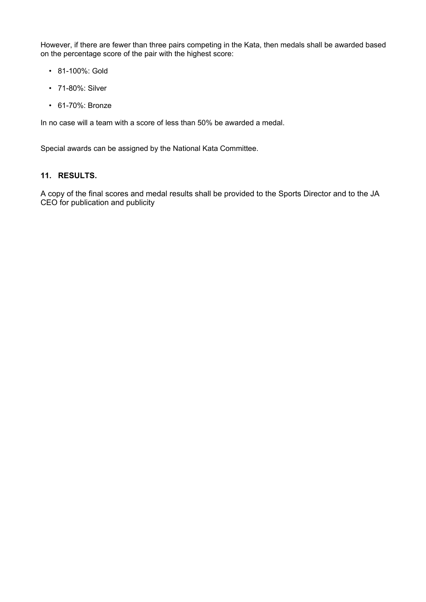However, if there are fewer than three pairs competing in the Kata, then medals shall be awarded based on the percentage score of the pair with the highest score:

- 81-100%: Gold
- 71-80%: Silver
- 61-70%: Bronze

In no case will a team with a score of less than 50% be awarded a medal.

Special awards can be assigned by the National Kata Committee.

#### **11. RESULTS.**

A copy of the final scores and medal results shall be provided to the Sports Director and to the JA CEO for publication and publicity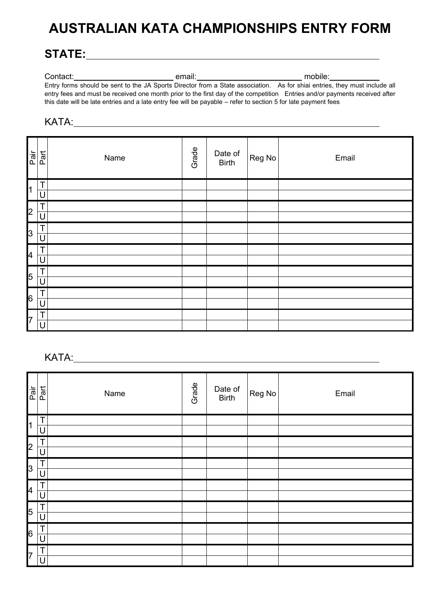# **AUSTRALIAN KATA CHAMPIONSHIPS ENTRY FORM**

## **STATE:**

| Contact:                                                                                                                   | email: | mobile: |  |  |
|----------------------------------------------------------------------------------------------------------------------------|--------|---------|--|--|
| Entry forms should be sent to the JA Sports Director from a State association. As for shiai entries, they must include all |        |         |  |  |
| entry fees and must be received one month prior to the first day of the competition Entries and/or payments received after |        |         |  |  |
| this date will be late entries and a late entry fee will be payable – refer to section 5 for late payment fees             |        |         |  |  |

## KATA:

|                          | Pair<br>Part | Name | Grade | Date of<br><b>Birth</b> | Reg No | Email |
|--------------------------|--------------|------|-------|-------------------------|--------|-------|
| $\overline{\phantom{a}}$ | ÷<br>L       |      |       |                         |        |       |
|                          | U            |      |       |                         |        |       |
| $\overline{\mathbf{2}}$  | J.           |      |       |                         |        |       |
|                          | U            |      |       |                         |        |       |
| $\overline{3}$           | L            |      |       |                         |        |       |
|                          | $\cup$       |      |       |                         |        |       |
| <b>4</b>                 | Т            |      |       |                         |        |       |
|                          | U            |      |       |                         |        |       |
| $\overline{5}$           | ш            |      |       |                         |        |       |
|                          |              |      |       |                         |        |       |
| $\overline{6}$           | ᅮ<br>ш       |      |       |                         |        |       |
|                          | U            |      |       |                         |        |       |
| $\overline{7}$           | I.           |      |       |                         |        |       |
|                          | U            |      |       |                         |        |       |

### KATA:

|                          | Pair<br>Part | Name | Grade | Date of<br>Birth | Reg No | Email |
|--------------------------|--------------|------|-------|------------------|--------|-------|
| $\vert$ 1                | ┱<br>J.      |      |       |                  |        |       |
|                          |              |      |       |                  |        |       |
| $\overline{\phantom{a}}$ | J.           |      |       |                  |        |       |
|                          | $\cup$       |      |       |                  |        |       |
| $\overline{3}$           | J.           |      |       |                  |        |       |
|                          | U            |      |       |                  |        |       |
| 4                        | ш            |      |       |                  |        |       |
|                          |              |      |       |                  |        |       |
| $\overline{5}$           | L            |      |       |                  |        |       |
|                          |              |      |       |                  |        |       |
| $\overline{6}$           | L            |      |       |                  |        |       |
|                          |              |      |       |                  |        |       |
| —<br>7                   | ÷<br>L       |      |       |                  |        |       |
|                          | J            |      |       |                  |        |       |